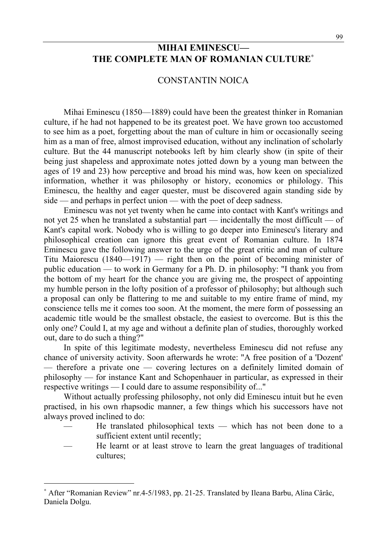## **MIHAI EMINESCU— THE COMPLETE MAN OF ROMANIAN CULTURE**<sup>∗</sup>

## CONSTANTIN NOICA

Mihai Eminescu (1850—1889) could have been the greatest thinker in Romanian culture, if he had not happened to be its greatest poet. We have grown too accustomed to see him as a poet, forgetting about the man of culture in him or occasionally seeing him as a man of free, almost improvised education, without any inclination of scholarly culture. But the 44 manuscript notebooks left by him clearly show (in spite of their being just shapeless and approximate notes jotted down by a young man between the ages of 19 and 23) how perceptive and broad his mind was, how keen on specialized information, whether it was philosophy or history, economics or philology. This Eminescu, the healthy and eager quester, must be discovered again standing side by side — and perhaps in perfect union — with the poet of deep sadness.

Eminescu was not yet twenty when he came into contact with Kant's writings and not yet 25 when he translated a substantial part — incidentally the most difficult — of Kant's capital work. Nobody who is willing to go deeper into Eminescu's literary and philosophical creation can ignore this great event of Romanian culture. In 1874 Eminescu gave the following answer to the urge of the great critic and man of culture Titu Maiorescu (1840—1917) — right then on the point of becoming minister of public education — to work in Germany for a Ph. D. in philosophy: "I thank you from the bottom of my heart for the chance you are giving me, the prospect of appointing my humble person in the lofty position of a professor of philosophy; but although such a proposal can only be flattering to me and suitable to my entire frame of mind, my conscience tells me it comes too soon. At the moment, the mere form of possessing an academic title would be the smallest obstacle, the easiest to overcome. But is this the only one? Could I, at my age and without a definite plan of studies, thoroughly worked out, dare to do such a thing?"

In spite of this legitimate modesty, nevertheless Eminescu did not refuse any chance of university activity. Soon afterwards he wrote: "A free position of a 'Dozent' — therefore a private one — covering lectures on a definitely limited domain of philosophy — for instance Kant and Schopenhauer in particular, as expressed in their respective writings — I could dare to assume responsibility of..."

Without actually professing philosophy, not only did Eminescu intuit but he even practised, in his own rhapsodic manner, a few things which his successors have not always proved inclined to do:

- He translated philosophical texts which has not been done to a sufficient extent until recently;
- He learnt or at least strove to learn the great languages of traditional cultures;

 $\overline{a}$ 

<sup>∗</sup> After "Romanian Review" nr.4-5/1983, pp. 21-25. Translated by Ileana Barbu, Alina Cârâc, Daniela Dolgu.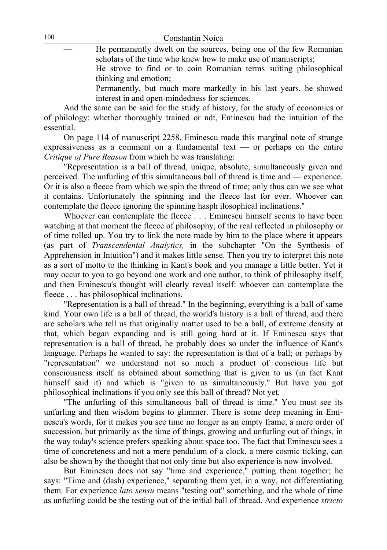| 100 | Constantin Noica                                                   |
|-----|--------------------------------------------------------------------|
|     | He permanently dwelt on the sources, being one of the few Romanian |
|     | scholars of the time who knew how to make use of manuscripts;      |
|     | He strove to find or to coin Romanian terms suiting philosophical  |
|     | thinking and emotion;                                              |
|     | Permanently, but much more markedly in his last years, he showed   |
|     | interest in and open-mindedness for sciences.                      |

And the same can be said for the study of history, for the study of economics or of philology: whether thoroughly trained or ndt, Eminescu had the intuition of the essential.

On page 114 of manuscript 2258, Eminescu made this marginal note of strange expressiveness as a comment on a fundamental text — or perhaps on the entire *Critique of Pure Reason* from which he was translating:

"Representation is a ball of thread, unique, absolute, simultaneously given and perceived. The unfurling of this simultaneous ball of thread is time and — experience. Or it is also a fleece from which we spin the thread of time; only thus can we see what it contains. Unfortunately the spinning and the fleece last for ever. Whoever can contemplate the fleece ignoring the spinning hasph ilosophical inclinations."

Whoever can contemplate the fleece . . . Eminescu himself seems to have been watching at that moment the fleece of philosophy, of the real reflected in philosophy or of time rolled up. You try to link the note made by him to the place where it appears (as part of *Transcendental Analytics,* in the subchapter "On the Synthesis of Apprehension in Intuition") and it makes little sense. Then you try to interpret this note as a sort of motto to the thinking in Kant's book and you manage a little better. Yet it may occur to you to go beyond one work and one author, to think of philosophy itself, and then Eminescu's thought will clearly reveal itself: whoever can contemplate the fleece . . . has philosophical inclinations.

"Representation is a ball of thread." In the beginning, everything is a ball of same kind. Your own life is a ball of thread, the world's history is a ball of thread, and there are scholars who tell us that originally matter used to be a ball, of extreme density at that, which began expanding and is still going hard at it. If Eminescu says that representation is a ball of thread, he probably does so under the influence of Kant's language. Perhaps he wanted to say: the representation is that of a ball; or perhaps by "representation" we understand not so much a product of conscious life but consciousness itself as obtained about something that is given to us (in fact Kant himself said it) and which is "given to us simultaneously." But have you got philosophical inclinations if you only see this ball of thread? Not yet.

"The unfurling of this simultaneous ball of thread is time." You must see its unfurling and then wisdom begins to glimmer. There is some deep meaning in Eminescu's words, for it makes you see time no longer as an empty frame, a mere order of succession, but primarily as the time of things, growing and unfurling out of things, in the way today's science prefers speaking about space too. The fact that Eminescu sees a time of concreteness and not a mere pendulum of a clock, a mere cosmic ticking, can also be shown by the thought that not only time but also experience is now involved.

But Eminescu does not say "time and experience," putting them together; he says: "Time and (dash) experience," separating them yet, in a way, not differentiating them. For experience *lato sensu* means "testing out" something, and the whole of time as unfurling could be the testing out of the initial ball of thread. And experience *stricto*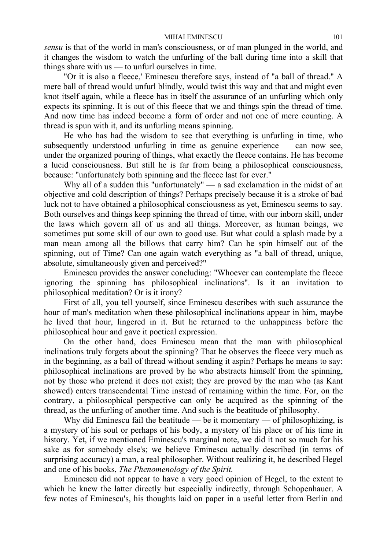*sensu* is that of the world in man's consciousness, or of man plunged in the world, and it changes the wisdom to watch the unfurling of the ball during time into a skill that things share with us — to unfurl ourselves in time.

"Or it is also a fleece,' Eminescu therefore says, instead of "a ball of thread." A mere ball of thread would unfurl blindly, would twist this way and that and might even knot itself again, while a fleece has in itself the assurance of an unfurling which only expects its spinning. It is out of this fleece that we and things spin the thread of time. And now time has indeed become a form of order and not one of mere counting. A thread is spun with it, and its unfurling means spinning.

He who has had the wisdom to see that everything is unfurling in time, who subsequently understood unfurling in time as genuine experience — can now see, under the organized pouring of things, what exactly the fleece contains. He has become a lucid consciousness. But still he is far from being a philosophical consciousness, because: "unfortunately both spinning and the fleece last for ever."

Why all of a sudden this "unfortunately" — a sad exclamation in the midst of an objective and cold description of things? Perhaps precisely because it is a stroke of bad luck not to have obtained a philosophical consciousness as yet, Eminescu seems to say. Both ourselves and things keep spinning the thread of time, with our inborn skill, under the laws which govern all of us and all things. Moreover, as human beings, we sometimes put some skill of our own to good use. But what could a splash made by a man mean among all the billows that carry him? Can he spin himself out of the spinning, out of Time? Can one again watch everything as "a ball of thread, unique, absolute, simultaneously given and perceived?"

Eminescu provides the answer concluding: "Whoever can contemplate the fleece ignoring the spinning has philosophical inclinations". Is it an invitation to philosophical meditation? Or is it irony?

First of all, you tell yourself, since Eminescu describes with such assurance the hour of man's meditation when these philosophical inclinations appear in him, maybe he lived that hour, lingered in it. But he returned to the unhappiness before the philosophical hour and gave it poetical expression.

On the other hand, does Eminescu mean that the man with philosophical inclinations truly forgets about the spinning? That he observes the fleece very much as in the beginning, as a ball of thread without sending it aspin? Perhaps he means to say: philosophical inclinations are proved by he who abstracts himself from the spinning, not by those who pretend it does not exist; they are proved by the man who (as Kant showed) enters transcendental Time instead of remaining within the time. For, on the contrary, a philosophical perspective can only be acquired as the spinning of the thread, as the unfurling of another time. And such is the beatitude of philosophy.

Why did Eminescu fail the beatitude — be it momentary — of philosophizing, is a mystery of his soul or perhaps of his body, a mystery of his place or of his time in history. Yet, if we mentioned Eminescu's marginal note, we did it not so much for his sake as for somebody else's; we believe Eminescu actually described (in terms of surprising accuracy) a man, a real philosopher. Without realizing it, he described Hegel and one of his books, *The Phenomenology of the Spirit.*

Eminescu did not appear to have a very good opinion of Hegel, to the extent to which he knew the latter directly but especially indirectly, through Schopenhauer. A few notes of Eminescu's, his thoughts laid on paper in a useful letter from Berlin and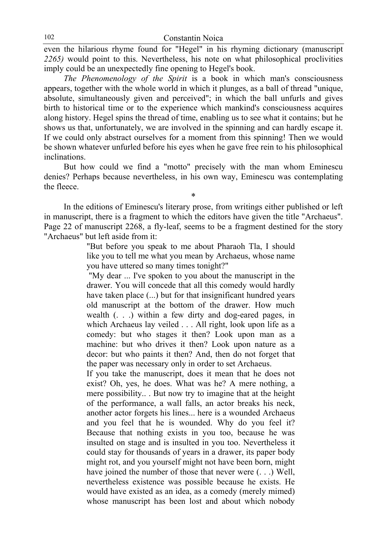even the hilarious rhyme found for "Hegel" in his rhyming dictionary (manuscript *2265)* would point to this. Nevertheless, his note on what philosophical proclivities imply could be an unexpectedly fine opening to Hegel's book.

*The Phenomenology of the Spirit* is a book in which man's consciousness appears, together with the whole world in which it plunges, as a ball of thread "unique, absolute, simultaneously given and perceived"; in which the ball unfurls and gives birth to historical time or to the experience which mankind's consciousness acquires along history. Hegel spins the thread of time, enabling us to see what it contains; but he shows us that, unfortunately, we are involved in the spinning and can hardly escape it. If we could only abstract ourselves for a moment from this spinning! Then we would be shown whatever unfurled before his eyes when he gave free rein to his philosophical inclinations.

But how could we find a "motto" precisely with the man whom Eminescu denies? Perhaps because nevertheless, in his own way, Eminescu was contemplating the fleece.

\*

In the editions of Eminescu's literary prose, from writings either published or left in manuscript, there is a fragment to which the editors have given the title "Archaeus". Page 22 of manuscript 2268, a fly-leaf, seems to be a fragment destined for the story "Archaeus" but left aside from it:

> "But before you speak to me about Pharaoh Tla, I should like you to tell me what you mean by Archaeus, whose name you have uttered so many times tonight?"

> "My dear ... I've spoken to you about the manuscript in the drawer. You will concede that all this comedy would hardly have taken place (...) but for that insignificant hundred years old manuscript at the bottom of the drawer. How much wealth (. . .) within a few dirty and dog-eared pages, in which Archaeus lay veiled . . . All right, look upon life as a comedy: but who stages it then? Look upon man as a machine: but who drives it then? Look upon nature as a decor: but who paints it then? And, then do not forget that the paper was necessary only in order to set Archaeus.

> If you take the manuscript, does it mean that he does not exist? Oh, yes, he does. What was he? A mere nothing, a mere possibility.. . But now try to imagine that at the height of the performance, a wall falls, an actor breaks his neck, another actor forgets his lines... here is a wounded Archaeus and you feel that he is wounded. Why do you feel it? Because that nothing exists in you too, because he was insulted on stage and is insulted in you too. Nevertheless it could stay for thousands of years in a drawer, its paper body might rot, and you yourself might not have been born, might have joined the number of those that never were  $( \ldots )$  Well, nevertheless existence was possible because he exists. He would have existed as an idea, as a comedy (merely mimed) whose manuscript has been lost and about which nobody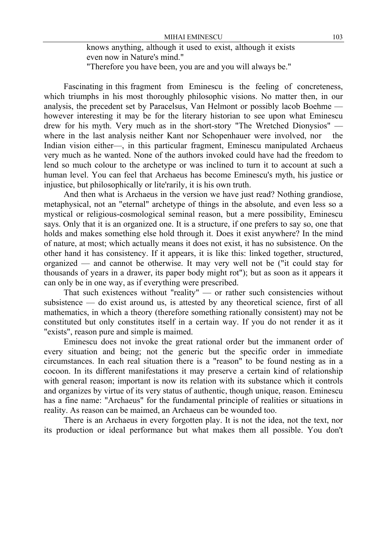knows anything, although it used to exist, although it exists even now in Nature's mind." "Therefore you have been, you are and you will always be."

Fascinating in this fragment from Eminescu is the feeling of concreteness, which triumphs in his most thoroughly philosophic visions. No matter then, in our analysis, the precedent set by Paracelsus, Van Helmont or possibly lacob Boehme however interesting it may be for the literary historian to see upon what Eminescu drew for his myth. Very much as in the short-story "The Wretched Dionysios" where in the last analysis neither Kant nor Schopenhauer were involved, nor the Indian vision either—, in this particular fragment, Eminescu manipulated Archaeus very much as he wanted. None of the authors invoked could have had the freedom to lend so much colour to the archetype or was inclined to turn it to account at such a human level. You can feel that Archaeus has become Eminescu's myth, his justice or injustice, but philosophically or lite'rarily, it is his own truth.

And then what is Archaeus in the version we have just read? Nothing grandiose, metaphysical, not an "eternal" archetype of things in the absolute, and even less so a mystical or religious-cosmological seminal reason, but a mere possibility, Eminescu says. Only that it is an organized one. It is a structure, if one prefers to say so, one that holds and makes something else hold through it. Does it exist anywhere? In the mind of nature, at most; which actually means it does not exist, it has no subsistence. On the other hand it has consistency. If it appears, it is like this: linked together, structured, organized — and cannot be otherwise. It may very well not be ("it could stay for thousands of years in a drawer, its paper body might rot"); but as soon as it appears it can only be in one way, as if everything were prescribed.

That such existences without "reality" — or rather such consistencies without subsistence — do exist around us, is attested by any theoretical science, first of all mathematics, in which a theory (therefore something rationally consistent) may not be constituted but only constitutes itself in a certain way. If you do not render it as it "exists", reason pure and simple is maimed.

Eminescu does not invoke the great rational order but the immanent order of every situation and being; not the generic but the specific order in immediate circumstances. In each real situation there is a "reason" to be found nesting as in a cocoon. In its different manifestations it may preserve a certain kind of relationship with general reason; important is now its relation with its substance which it controls and organizes by virtue of its very status of authentic, though unique, reason. Eminescu has a fine name: "Archaeus" for the fundamental principle of realities or situations in reality. As reason can be maimed, an Archaeus can be wounded too.

There is an Archaeus in every forgotten play. It is not the idea, not the text, nor its production or ideal performance but what makes them all possible. You don't